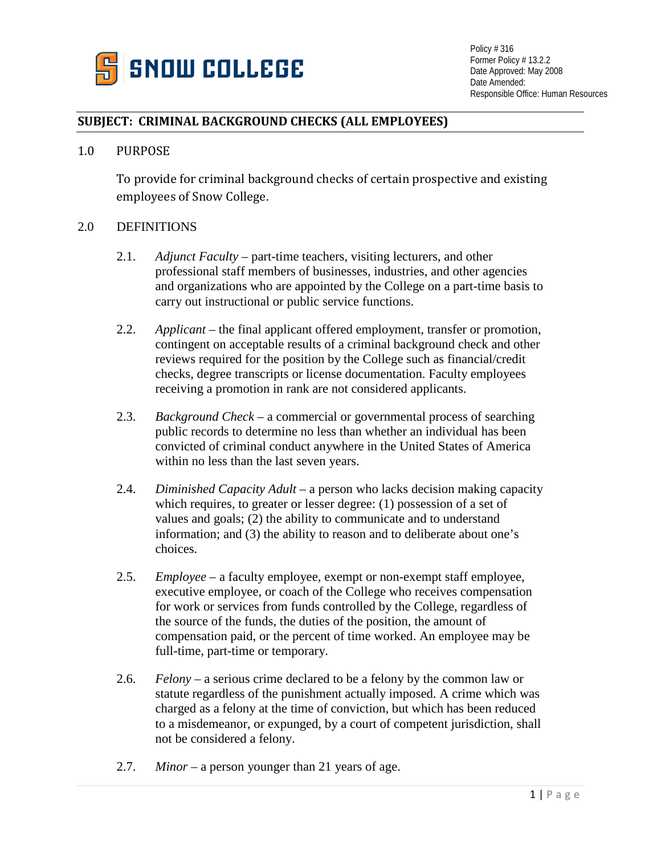

## **SUBJECT: CRIMINAL BACKGROUND CHECKS (ALL EMPLOYEES)**

## 1.0 PURPOSE

To provide for criminal background checks of certain prospective and existing employees of Snow College.

## 2.0 DEFINITIONS

- 2.1. *Adjunct Faculty* part-time teachers, visiting lecturers, and other professional staff members of businesses, industries, and other agencies and organizations who are appointed by the College on a part-time basis to carry out instructional or public service functions.
- 2.2. *Applicant* the final applicant offered employment, transfer or promotion, contingent on acceptable results of a criminal background check and other reviews required for the position by the College such as financial/credit checks, degree transcripts or license documentation. Faculty employees receiving a promotion in rank are not considered applicants.
- 2.3. *Background Check* a commercial or governmental process of searching public records to determine no less than whether an individual has been convicted of criminal conduct anywhere in the United States of America within no less than the last seven years.
- 2.4. *Diminished Capacity Adult* a person who lacks decision making capacity which requires, to greater or lesser degree: (1) possession of a set of values and goals; (2) the ability to communicate and to understand information; and (3) the ability to reason and to deliberate about one's choices.
- 2.5. *Employee* a faculty employee, exempt or non-exempt staff employee, executive employee, or coach of the College who receives compensation for work or services from funds controlled by the College, regardless of the source of the funds, the duties of the position, the amount of compensation paid, or the percent of time worked. An employee may be full-time, part-time or temporary.
- 2.6. *Felony* a serious crime declared to be a felony by the common law or statute regardless of the punishment actually imposed. A crime which was charged as a felony at the time of conviction, but which has been reduced to a misdemeanor, or expunged, by a court of competent jurisdiction, shall not be considered a felony.
- 2.7. *Minor* a person younger than 21 years of age.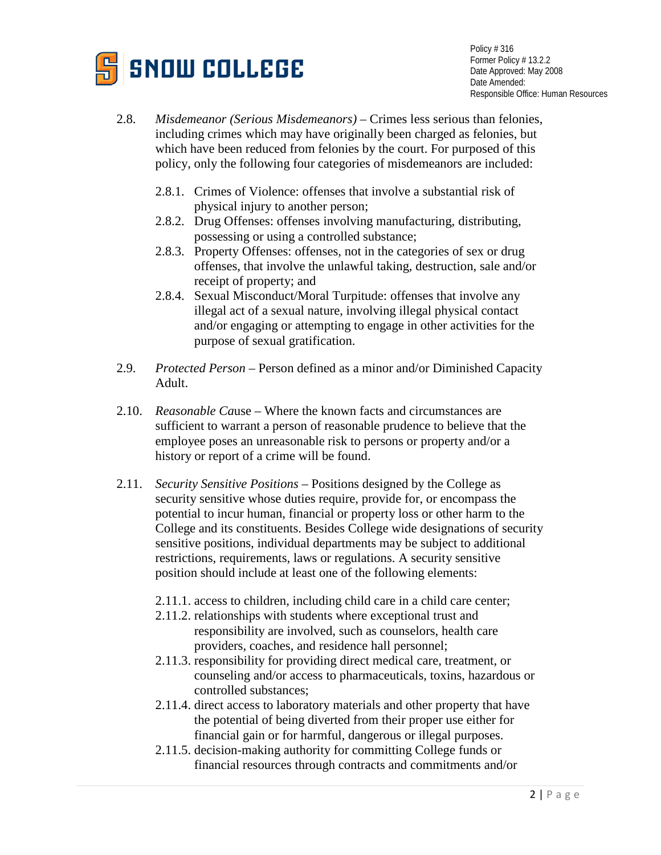

- 2.8. *Misdemeanor (Serious Misdemeanors)* Crimes less serious than felonies, including crimes which may have originally been charged as felonies, but which have been reduced from felonies by the court. For purposed of this policy, only the following four categories of misdemeanors are included:
	- 2.8.1. Crimes of Violence: offenses that involve a substantial risk of physical injury to another person;
	- 2.8.2. Drug Offenses: offenses involving manufacturing, distributing, possessing or using a controlled substance;
	- 2.8.3. Property Offenses: offenses, not in the categories of sex or drug offenses, that involve the unlawful taking, destruction, sale and/or receipt of property; and
	- 2.8.4. Sexual Misconduct/Moral Turpitude: offenses that involve any illegal act of a sexual nature, involving illegal physical contact and/or engaging or attempting to engage in other activities for the purpose of sexual gratification.
- 2.9. *Protected Person* Person defined as a minor and/or Diminished Capacity Adult.
- 2.10. *Reasonable Ca*use Where the known facts and circumstances are sufficient to warrant a person of reasonable prudence to believe that the employee poses an unreasonable risk to persons or property and/or a history or report of a crime will be found.
- 2.11. *Security Sensitive Positions* Positions designed by the College as security sensitive whose duties require, provide for, or encompass the potential to incur human, financial or property loss or other harm to the College and its constituents. Besides College wide designations of security sensitive positions, individual departments may be subject to additional restrictions, requirements, laws or regulations. A security sensitive position should include at least one of the following elements:
	- 2.11.1. access to children, including child care in a child care center;
	- 2.11.2. relationships with students where exceptional trust and responsibility are involved, such as counselors, health care providers, coaches, and residence hall personnel;
	- 2.11.3. responsibility for providing direct medical care, treatment, or counseling and/or access to pharmaceuticals, toxins, hazardous or controlled substances;
	- 2.11.4. direct access to laboratory materials and other property that have the potential of being diverted from their proper use either for financial gain or for harmful, dangerous or illegal purposes.
	- 2.11.5. decision-making authority for committing College funds or financial resources through contracts and commitments and/or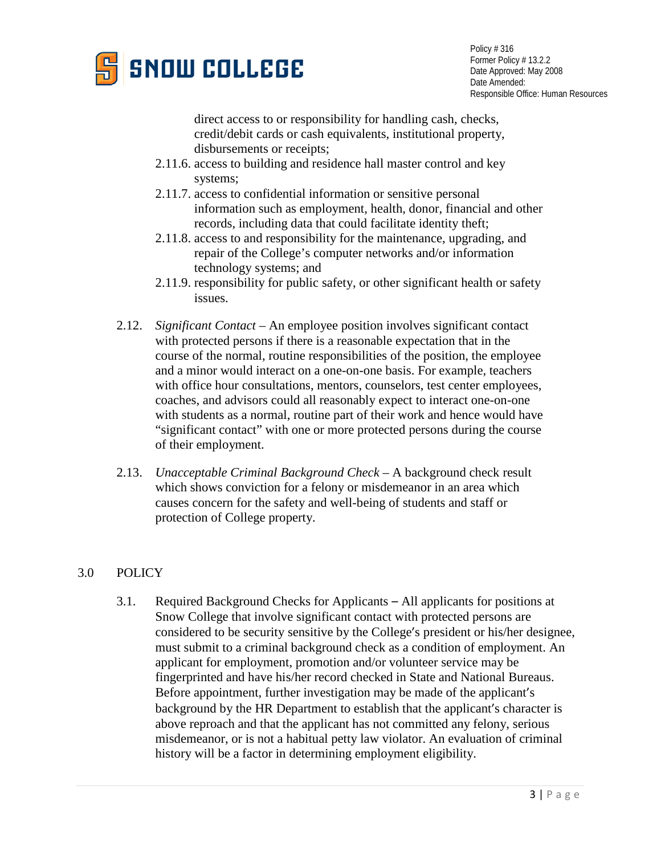

direct access to or responsibility for handling cash, checks, credit/debit cards or cash equivalents, institutional property, disbursements or receipts;

- 2.11.6. access to building and residence hall master control and key systems;
- 2.11.7. access to confidential information or sensitive personal information such as employment, health, donor, financial and other records, including data that could facilitate identity theft;
- 2.11.8. access to and responsibility for the maintenance, upgrading, and repair of the College's computer networks and/or information technology systems; and
- 2.11.9. responsibility for public safety, or other significant health or safety issues.
- 2.12. *Significant Contact*  An employee position involves significant contact with protected persons if there is a reasonable expectation that in the course of the normal, routine responsibilities of the position, the employee and a minor would interact on a one-on-one basis. For example, teachers with office hour consultations, mentors, counselors, test center employees, coaches, and advisors could all reasonably expect to interact one-on-one with students as a normal, routine part of their work and hence would have "significant contact" with one or more protected persons during the course of their employment.
- 2.13. *Unacceptable Criminal Background Check* A background check result which shows conviction for a felony or misdemeanor in an area which causes concern for the safety and well-being of students and staff or protection of College property.

## 3.0 POLICY

3.1. Required Background Checks for Applicants – All applicants for positions at Snow College that involve significant contact with protected persons are considered to be security sensitive by the College's president or his/her designee, must submit to a criminal background check as a condition of employment. An applicant for employment, promotion and/or volunteer service may be fingerprinted and have his/her record checked in State and National Bureaus. Before appointment, further investigation may be made of the applicant's background by the HR Department to establish that the applicant's character is above reproach and that the applicant has not committed any felony, serious misdemeanor, or is not a habitual petty law violator. An evaluation of criminal history will be a factor in determining employment eligibility.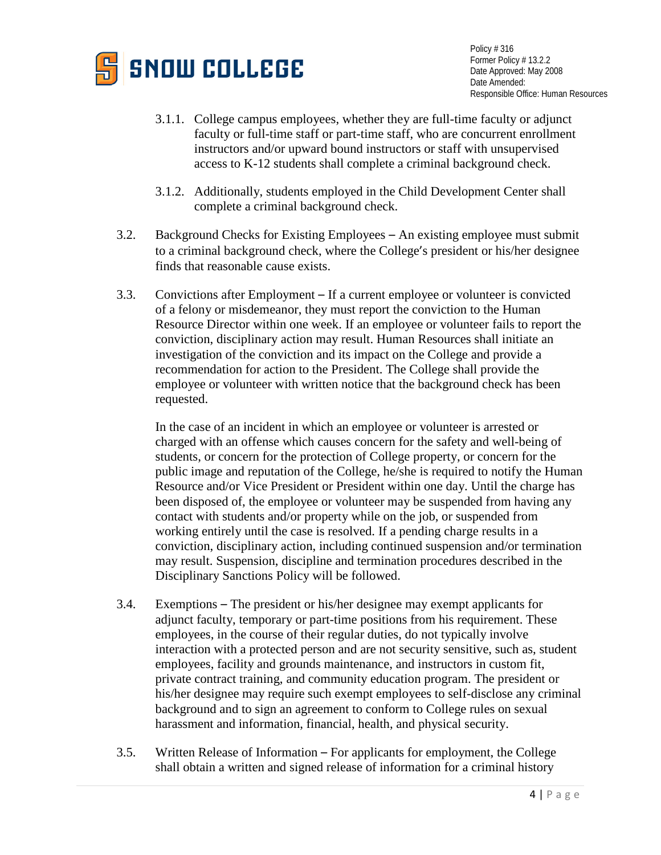

- 3.1.1. College campus employees, whether they are full-time faculty or adjunct faculty or full-time staff or part-time staff, who are concurrent enrollment instructors and/or upward bound instructors or staff with unsupervised access to K-12 students shall complete a criminal background check.
- 3.1.2. Additionally, students employed in the Child Development Center shall complete a criminal background check.
- 3.2. Background Checks for Existing Employees An existing employee must submit to a criminal background check, where the College's president or his/her designee finds that reasonable cause exists.
- 3.3. Convictions after Employment If a current employee or volunteer is convicted of a felony or misdemeanor, they must report the conviction to the Human Resource Director within one week. If an employee or volunteer fails to report the conviction, disciplinary action may result. Human Resources shall initiate an investigation of the conviction and its impact on the College and provide a recommendation for action to the President. The College shall provide the employee or volunteer with written notice that the background check has been requested.

In the case of an incident in which an employee or volunteer is arrested or charged with an offense which causes concern for the safety and well-being of students, or concern for the protection of College property, or concern for the public image and reputation of the College, he/she is required to notify the Human Resource and/or Vice President or President within one day. Until the charge has been disposed of, the employee or volunteer may be suspended from having any contact with students and/or property while on the job, or suspended from working entirely until the case is resolved. If a pending charge results in a conviction, disciplinary action, including continued suspension and/or termination may result. Suspension, discipline and termination procedures described in the Disciplinary Sanctions Policy will be followed.

- 3.4. Exemptions The president or his/her designee may exempt applicants for adjunct faculty, temporary or part-time positions from his requirement. These employees, in the course of their regular duties, do not typically involve interaction with a protected person and are not security sensitive, such as, student employees, facility and grounds maintenance, and instructors in custom fit, private contract training, and community education program. The president or his/her designee may require such exempt employees to self-disclose any criminal background and to sign an agreement to conform to College rules on sexual harassment and information, financial, health, and physical security.
- 3.5. Written Release of Information For applicants for employment, the College shall obtain a written and signed release of information for a criminal history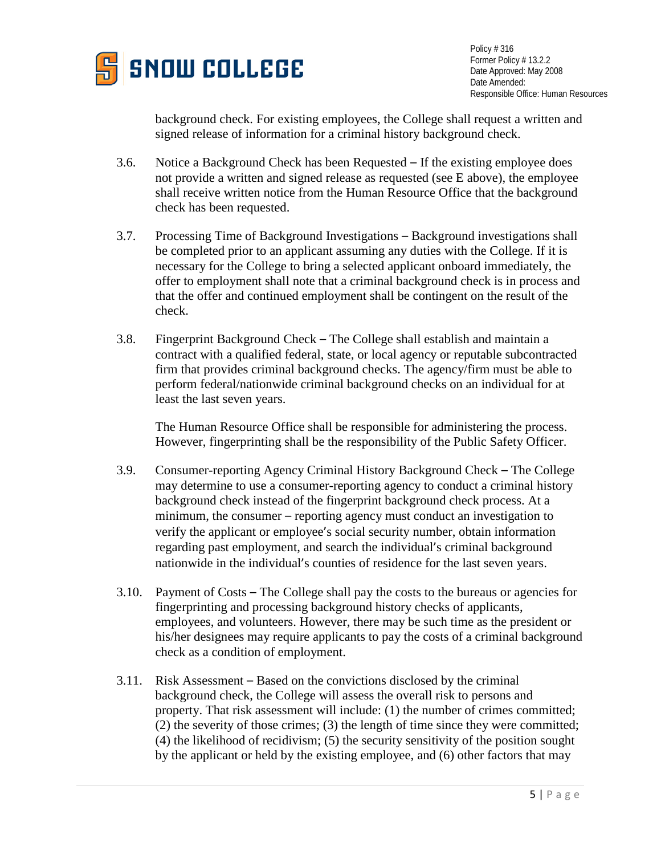

background check. For existing employees, the College shall request a written and signed release of information for a criminal history background check.

- 3.6. Notice a Background Check has been Requested If the existing employee does not provide a written and signed release as requested (see E above), the employee shall receive written notice from the Human Resource Office that the background check has been requested.
- 3.7. Processing Time of Background Investigations Background investigations shall be completed prior to an applicant assuming any duties with the College. If it is necessary for the College to bring a selected applicant onboard immediately, the offer to employment shall note that a criminal background check is in process and that the offer and continued employment shall be contingent on the result of the check.
- 3.8. Fingerprint Background Check The College shall establish and maintain a contract with a qualified federal, state, or local agency or reputable subcontracted firm that provides criminal background checks. The agency/firm must be able to perform federal/nationwide criminal background checks on an individual for at least the last seven years.

The Human Resource Office shall be responsible for administering the process. However, fingerprinting shall be the responsibility of the Public Safety Officer.

- 3.9. Consumer-reporting Agency Criminal History Background Check The College may determine to use a consumer-reporting agency to conduct a criminal history background check instead of the fingerprint background check process. At a minimum, the consumer – reporting agency must conduct an investigation to verify the applicant or employee's social security number, obtain information regarding past employment, and search the individual's criminal background nationwide in the individual's counties of residence for the last seven years.
- 3.10. Payment of Costs The College shall pay the costs to the bureaus or agencies for fingerprinting and processing background history checks of applicants, employees, and volunteers. However, there may be such time as the president or his/her designees may require applicants to pay the costs of a criminal background check as a condition of employment.
- 3.11. Risk Assessment Based on the convictions disclosed by the criminal background check, the College will assess the overall risk to persons and property. That risk assessment will include: (1) the number of crimes committed; (2) the severity of those crimes; (3) the length of time since they were committed; (4) the likelihood of recidivism; (5) the security sensitivity of the position sought by the applicant or held by the existing employee, and (6) other factors that may